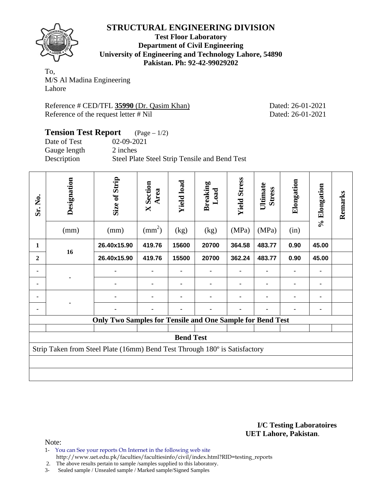

**Test Floor Laboratory Department of Civil Engineering University of Engineering and Technology Lahore, 54890 Pakistan. Ph: 92-42-99029202** 

To, M/S Al Madina Engineering Lahore

Reference # CED/TFL **35990** (Dr. Qasim Khan) Dated: 26-01-2021 Reference of the request letter # Nil Dated: 26-01-2021

#### **Tension Test Report** (Page – 1/2) Date of Test 02-09-2021 Gauge length 2 inches Description Steel Plate Steel Strip Tensile and Bend Test

| Sr. No.          | Designation<br>(mm)                                                        | Size of Strip<br>(mm)                                            | <b>X</b> Section<br>Area<br>$\text{(mm}^2)$ | <b>Yield load</b><br>(kg) | <b>Breaking</b><br>Load<br>(kg) | <b>Yield Stress</b><br>(MPa) | Ultimate<br><b>Stress</b><br>(MPa) | Elongation<br>(in) | % Elongation | Remarks |
|------------------|----------------------------------------------------------------------------|------------------------------------------------------------------|---------------------------------------------|---------------------------|---------------------------------|------------------------------|------------------------------------|--------------------|--------------|---------|
| 1                |                                                                            | 26.40x15.90                                                      | 419.76                                      | 15600                     | 20700                           | 364.58                       | 483.77                             | 0.90               | 45.00        |         |
| $\boldsymbol{2}$ | 16                                                                         | 26.40x15.90                                                      | 419.76                                      | 15500                     | 20700                           | 362.24                       | 483.77                             | 0.90               | 45.00        |         |
|                  |                                                                            |                                                                  |                                             |                           |                                 |                              |                                    |                    |              |         |
|                  |                                                                            |                                                                  |                                             |                           |                                 |                              |                                    |                    |              |         |
|                  |                                                                            |                                                                  |                                             |                           |                                 |                              |                                    |                    |              |         |
|                  |                                                                            |                                                                  |                                             |                           |                                 |                              |                                    |                    | ۰            |         |
|                  |                                                                            | <b>Only Two Samples for Tensile and One Sample for Bend Test</b> |                                             |                           |                                 |                              |                                    |                    |              |         |
| <b>Bend Test</b> |                                                                            |                                                                  |                                             |                           |                                 |                              |                                    |                    |              |         |
|                  | Strip Taken from Steel Plate (16mm) Bend Test Through 180° is Satisfactory |                                                                  |                                             |                           |                                 |                              |                                    |                    |              |         |
|                  |                                                                            |                                                                  |                                             |                           |                                 |                              |                                    |                    |              |         |
|                  |                                                                            |                                                                  |                                             |                           |                                 |                              |                                    |                    |              |         |

**I/C Testing Laboratoires UET Lahore, Pakistan**.

Note:

- 1- You can See your reports On Internet in the following web site
- http://www.uet.edu.pk/faculties/facultiesinfo/civil/index.html?RID=testing\_reports 2. The above results pertain to sample /samples supplied to this laboratory.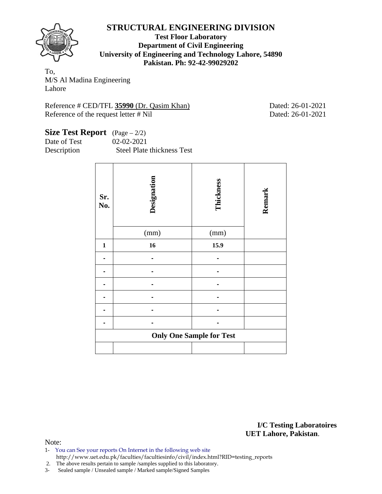

**Test Floor Laboratory Department of Civil Engineering University of Engineering and Technology Lahore, 54890 Pakistan. Ph: 92-42-99029202** 

To, M/S Al Madina Engineering Lahore

Reference # CED/TFL **35990** (Dr. Qasim Khan) Dated: 26-01-2021 Reference of the request letter # Nil Dated: 26-01-2021

| <b>Size Test Report</b> $(Page - 2/2)$ |                            |
|----------------------------------------|----------------------------|
| Date of Test                           | 02-02-2021                 |
| Description                            | Steel Plate thickness Test |

| Sr.<br>No.   | Designation<br>(mm) | Thickness<br>(mm)               | Remark |
|--------------|---------------------|---------------------------------|--------|
|              |                     |                                 |        |
| $\mathbf{1}$ | 16                  | 15.9                            |        |
|              |                     |                                 |        |
|              |                     |                                 |        |
|              |                     |                                 |        |
|              |                     |                                 |        |
|              |                     |                                 |        |
|              |                     |                                 |        |
|              |                     | <b>Only One Sample for Test</b> |        |
|              |                     |                                 |        |

**I/C Testing Laboratoires UET Lahore, Pakistan**.

Note:

1- You can See your reports On Internet in the following web site http://www.uet.edu.pk/faculties/facultiesinfo/civil/index.html?RID=testing\_reports

2. The above results pertain to sample /samples supplied to this laboratory.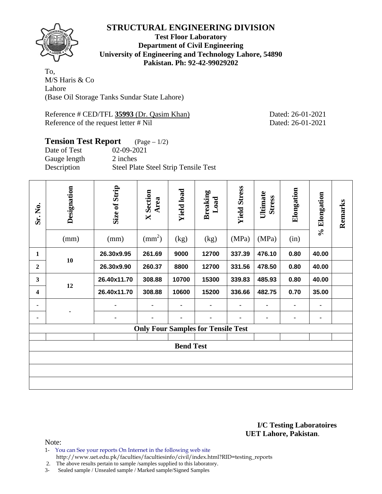

**Test Floor Laboratory Department of Civil Engineering University of Engineering and Technology Lahore, 54890 Pakistan. Ph: 92-42-99029202** 

To, M/S Haris & Co Lahore (Base Oil Storage Tanks Sundar State Lahore)

Reference # CED/TFL **35993** (Dr. Qasim Khan) Dated: 26-01-2021 Reference of the request letter # Nil Dated: 26-01-2021

# **Tension Test Report** (Page – 1/2)

| Date of Test | 02-09-2021                           |
|--------------|--------------------------------------|
| Gauge length | 2 inches                             |
| Description  | Steel Plate Steel Strip Tensile Test |

| Sr. No.          | Designation<br>(mm) | Size of Strip<br>(mm) | <b>X</b> Section<br>Area<br>$\text{mm}^2$ ) | <b>Yield load</b><br>(kg) | <b>Breaking</b><br>Load<br>(kg)           | <b>Yield Stress</b><br>(MPa) | Ultimate<br><b>Stress</b><br>(MPa) | Elongation<br>(in) | % Elongation | Remarks |  |
|------------------|---------------------|-----------------------|---------------------------------------------|---------------------------|-------------------------------------------|------------------------------|------------------------------------|--------------------|--------------|---------|--|
| 1                |                     | 26.30x9.95            | 261.69                                      | 9000                      | 12700                                     | 337.39                       | 476.10                             | 0.80               | 40.00        |         |  |
| $\boldsymbol{2}$ | 10                  | 26.30x9.90            | 260.37                                      | 8800                      | 12700                                     | 331.56                       | 478.50                             | 0.80               | 40.00        |         |  |
| 3                | 12                  | 26.40x11.70           | 308.88                                      | 10700                     | 15300                                     | 339.83                       | 485.93                             | 0.80               | 40.00        |         |  |
| 4                |                     | 26.40x11.70           | 308.88                                      | 10600                     | 15200                                     | 336.66                       | 482.75                             | 0.70               | 35.00        |         |  |
|                  |                     |                       |                                             | ۰                         |                                           |                              | ۰                                  | $\blacksquare$     |              |         |  |
|                  |                     |                       |                                             |                           |                                           |                              |                                    | ٠                  | ۰            |         |  |
|                  |                     |                       |                                             |                           | <b>Only Four Samples for Tensile Test</b> |                              |                                    |                    |              |         |  |
|                  | <b>Bend Test</b>    |                       |                                             |                           |                                           |                              |                                    |                    |              |         |  |
|                  |                     |                       |                                             |                           |                                           |                              |                                    |                    |              |         |  |
|                  |                     |                       |                                             |                           |                                           |                              |                                    |                    |              |         |  |
|                  |                     |                       |                                             |                           |                                           |                              |                                    |                    |              |         |  |

**I/C Testing Laboratoires UET Lahore, Pakistan**.

Note:

- 1- You can See your reports On Internet in the following web site
- http://www.uet.edu.pk/faculties/facultiesinfo/civil/index.html?RID=testing\_reports

2. The above results pertain to sample /samples supplied to this laboratory.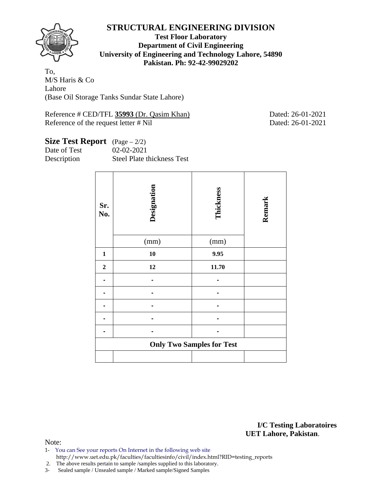

#### **Test Floor Laboratory Department of Civil Engineering University of Engineering and Technology Lahore, 54890 Pakistan. Ph: 92-42-99029202**

To, M/S Haris & Co Lahore (Base Oil Storage Tanks Sundar State Lahore)

Reference # CED/TFL **35993** (Dr. Qasim Khan) Dated: 26-01-2021 Reference of the request letter # Nil Dated: 26-01-2021

# **Size Test Report** (Page – 2/2)

Date of Test 02-02-2021

Description Steel Plate thickness Test

| Sr.<br>No.                       | Designation<br>(mm) | Thickness<br>(mm) | Remark |  |  |  |  |  |  |  |
|----------------------------------|---------------------|-------------------|--------|--|--|--|--|--|--|--|
|                                  |                     |                   |        |  |  |  |  |  |  |  |
| $\mathbf{1}$                     | 10                  | 9.95              |        |  |  |  |  |  |  |  |
| $\mathbf 2$                      | 12                  | 11.70             |        |  |  |  |  |  |  |  |
|                                  |                     |                   |        |  |  |  |  |  |  |  |
|                                  |                     |                   |        |  |  |  |  |  |  |  |
|                                  |                     |                   |        |  |  |  |  |  |  |  |
|                                  |                     |                   |        |  |  |  |  |  |  |  |
|                                  |                     |                   |        |  |  |  |  |  |  |  |
| <b>Only Two Samples for Test</b> |                     |                   |        |  |  |  |  |  |  |  |
|                                  |                     |                   |        |  |  |  |  |  |  |  |

**I/C Testing Laboratoires UET Lahore, Pakistan**.

Note:

- 1- You can See your reports On Internet in the following web site http://www.uet.edu.pk/faculties/facultiesinfo/civil/index.html?RID=testing\_reports
- 2. The above results pertain to sample /samples supplied to this laboratory.
- 3- Sealed sample / Unsealed sample / Marked sample/Signed Samples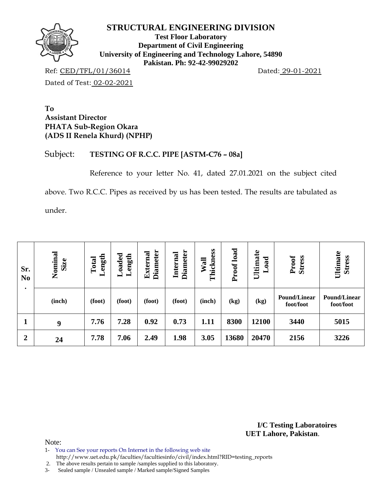

**Test Floor Laboratory Department of Civil Engineering University of Engineering and Technology Lahore, 54890 Pakistan. Ph: 92-42-99029202** 

Ref: CED/TFL/01/36014 Dated: 29-01-2021 Dated of Test: 02-02-2021

**To Assistant Director PHATA Sub-Region Okara (ADS II Renela Khurd) (NPHP)** 

#### Subject: **TESTING OF R.C.C. PIPE [ASTM-C76 – 08a]**

Reference to your letter No. 41, dated 27.01.2021 on the subject cited

above. Two R.C.C. Pipes as received by us has been tested. The results are tabulated as

under.

| Sr.<br>N <sub>0</sub><br>٠ | Nominal<br>Size | ength<br>Total<br>一 | $\rm Loaded$<br>Length | <b>Diameter</b><br>External | <b>Diameter</b><br>Internal | Thickness<br>Wall | Proof load | Ultimate<br>oad<br>━ | Proof<br><b>Stress</b>           | Ultimate<br><b>Stress</b>        |  |
|----------------------------|-----------------|---------------------|------------------------|-----------------------------|-----------------------------|-------------------|------------|----------------------|----------------------------------|----------------------------------|--|
|                            | (inch)          | (foot)              | (foot)                 | (foot)                      | (foot)                      | (inch)            | (kg)       | (kg)                 | <b>Pound/Linear</b><br>foot/foot | <b>Pound/Linear</b><br>foot/foot |  |
|                            | 9               | 7.76                | 7.28                   | 0.92                        | 0.73                        | 1.11              | 8300       | 12100                | 3440                             | 5015                             |  |
| $\boldsymbol{2}$           | 24              | 7.78                | 7.06                   | 2.49                        | 1.98                        | 3.05              | 13680      | 20470                | 2156                             | 3226                             |  |

**I/C Testing Laboratoires UET Lahore, Pakistan**.

Note:

1- You can See your reports On Internet in the following web site

http://www.uet.edu.pk/faculties/facultiesinfo/civil/index.html?RID=testing\_reports

2. The above results pertain to sample /samples supplied to this laboratory.